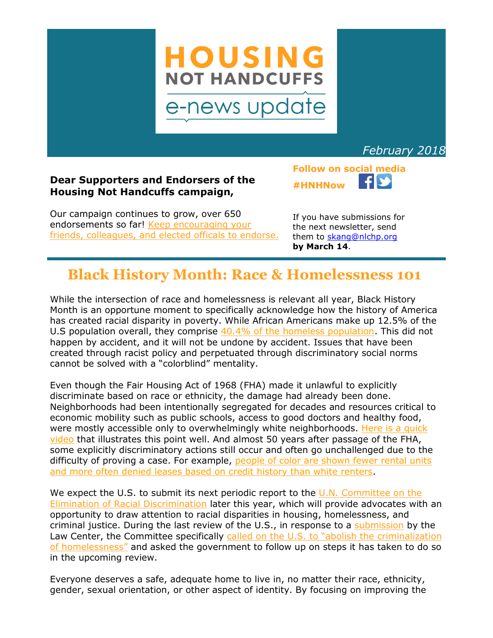

*February 2018*

### **Dear Supporters and Endorsers of the Housing Not Handcuffs campaign,**

Our campaign continues to grow, over 650 endorsements so far! [Keep encouraging your](http://housingnothandcuffs.org/endorsements/)  [friends, colleagues, and elected officals to endorse.](http://housingnothandcuffs.org/endorsements/)

If you have submissions for the next newsletter, send them to [skang@nlchp.org](mailto:skang@nlchp.org) **by March 14**.

**Follow on social media**

**#HNHNow**

### **Black History Month: Race & Homelessness 101**

While the intersection of race and homelessness is relevant all year, Black History Month is an opportune moment to specifically acknowledge how the history of America has created racial disparity in poverty. While African Americans make up 12.5% of the U.S population overall, they comprise  $40.4\%$  of the homeless population. This did not happen by accident, and it will not be undone by accident. Issues that have been created through racist policy and perpetuated through discriminatory social norms cannot be solved with a "colorblind" mentality.

Even though the Fair Housing Act of 1968 (FHA) made it unlawful to explicitly discriminate based on race or ethnicity, the damage had already been done. Neighborhoods had been intentionally segregated for decades and resources critical to economic mobility such as public schools, access to good doctors and healthy food, were mostly accessible only to overwhelmingly white neighborhoods. Here is a quick [video](https://www.youtube.com/watch?v=ETR9qrVS17g) that illustrates this point well. And almost 50 years after passage of the FHA, some explicitly discriminatory actions still occur and often go unchallenged due to the difficulty of proving a case. For example, people of color are shown fewer rental units [and more often denied leases based on credit history than white renters.](http://www.nytimes.com/2013/06/12/business/economy/discrimination-in-housing-against-nonwhites-persists-quietly-us-study-finds.html)

We expect the U.S. to submit its next periodic report to the U.N. Committee on the [Elimination of Racial Discrimination](http://www.ushrnetwork.org/icerd-project) later this year, which will provide advocates with an opportunity to draw attention to racial disparities in housing, homelessness, and criminal justice. During the last review of the U.S., in response to a [submission](https://www.nlchp.org/documents/CERD_Housing_Report_2014) by the Law Center, the Committee specifically [called on the U.S. to "abolish the criminalization](https://www.nlchp.org/press_releases/CERD2014)  [of homelessness"](https://www.nlchp.org/press_releases/CERD2014) and asked the government to follow up on steps it has taken to do so in the upcoming review.

Everyone deserves a safe, adequate home to live in, no matter their race, ethnicity, gender, sexual orientation, or other aspect of identity. By focusing on improving the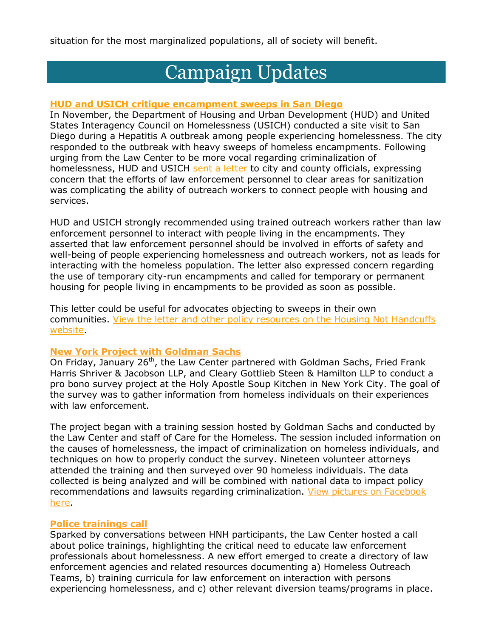situation for the most marginalized populations, all of society will benefit.

# Campaign Updates

#### **HUD and USICH critique encampment sweeps in San Diego**

In November, the Department of Housing and Urban Development (HUD) and United States Interagency Council on Homelessness (USICH) conducted a site visit to San Diego during a Hepatitis A outbreak among people experiencing homelessness. The city responded to the outbreak with heavy sweeps of homeless encampments. Following urging from the Law Center to be more vocal regarding criminalization of homelessness, HUD and USICH [sent a letter](http://housingnothandcuffs.org/wp-content/uploads/2017/11/USICH-and-HUD-San-Diego-policy-rec-letter.pdf) to city and county officials, expressing concern that the efforts of law enforcement personnel to clear areas for sanitization was complicating the ability of outreach workers to connect people with housing and services.

HUD and USICH strongly recommended using trained outreach workers rather than law enforcement personnel to interact with people living in the encampments. They asserted that law enforcement personnel should be involved in efforts of safety and well-being of people experiencing homelessness and outreach workers, not as leads for interacting with the homeless population. The letter also expressed concern regarding the use of temporary city-run encampments and called for temporary or permanent housing for people living in encampments to be provided as soon as possible.

This letter could be useful for advocates objecting to sweeps in their own communities. [View the letter and other policy resources on the Housing Not Handcuffs](http://housingnothandcuffs.org/policy-toolbox/)  [website.](http://housingnothandcuffs.org/policy-toolbox/)

#### **New York Project with Goldman Sachs**

On Friday, January  $26<sup>th</sup>$ , the Law Center partnered with Goldman Sachs, Fried Frank Harris Shriver & Jacobson LLP, and Cleary Gottlieb Steen & Hamilton LLP to conduct a pro bono survey project at the Holy Apostle Soup Kitchen in New York City. The goal of the survey was to gather information from homeless individuals on their experiences with law enforcement.

The project began with a training session hosted by Goldman Sachs and conducted by the Law Center and staff of Care for the Homeless. The session included information on the causes of homelessness, the impact of criminalization on homeless individuals, and techniques on how to properly conduct the survey. Nineteen volunteer attorneys attended the training and then surveyed over 90 homeless individuals. The data collected is being analyzed and will be combined with national data to impact policy recommendations and lawsuits regarding criminalization. View pictures on Facebook [here.](https://www.facebook.com/pg/homelessnesslaw/photos/?tab=album&album_id=1929862927055696)

#### **Police trainings call**

Sparked by conversations between HNH participants, the Law Center hosted a call about police trainings, highlighting the critical need to educate law enforcement professionals about homelessness. A new effort emerged to create a directory of law enforcement agencies and related resources documenting a) Homeless Outreach Teams, b) training curricula for law enforcement on interaction with persons experiencing homelessness, and c) other relevant diversion teams/programs in place.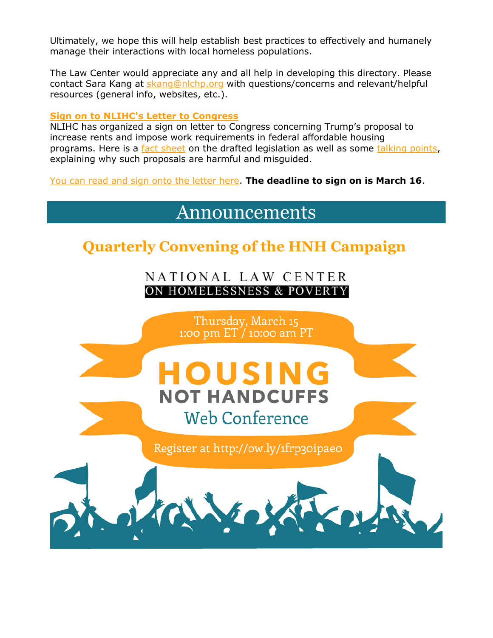Ultimately, we hope this will help establish best practices to effectively and humanely manage their interactions with local homeless populations.

The Law Center would appreciate any and all help in developing this directory. Please contact Sara Kang at [skang@nlchp.org](mailto:skang@nlchp.org) with questions/concerns and relevant/helpful resources (general info, websites, etc.).

#### **Sign on to NLIHC's Letter to Congress**

NLIHC has organized a sign on letter to Congress concerning Trump's proposal to increase rents and impose work requirements in federal affordable housing programs. Here is a [fact sheet](http://nlihc.org/sites/default/files/Rent-Reform-Bill_0218.pdf) on the drafted legislation as well as some [talking points,](http://nlihc.org/sites/default/files/Talking-Points_Benefit-Cuts_0218.pdf) explaining why such proposals are harmful and misguided.

[You can read and sign onto the letter here.](https://nlihc.wufoo.com/forms/z1qaqwy61twxwoo/) **The deadline to sign on is March 16**.

Announcements

## **Quarterly Convening of the HNH Campaign**

NATIONAL LAW CENTER ON HOMELESSNESS & POVERT

Thursday, March 15 1:00 pm  $ET/10$ :00 am PT OUSI **NOT HANDCUFFS Web Conference** Register at http://ow.ly/1frp30ipae0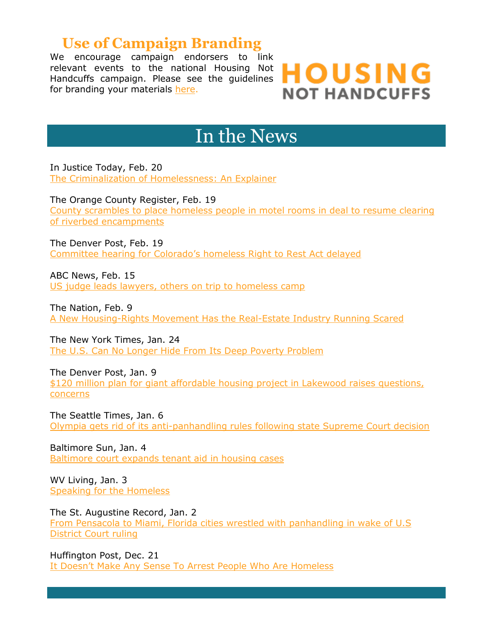### **Use of Campaign Branding**

We encourage campaign endorsers to link relevant events to the national Housing Not Handcuffs campaign. Please see the guidelines for branding your materials [here.](http://housingnothandcuffs.org/wp-content/uploads/2017/03/Guidelines-for-using-the-Housing-Not-Handcuffs-Name.pdf)



## In the News

In Justice Today, Feb. 20 [The Criminalization of Homelessness: An Explainer](https://injusticetoday.com/the-criminalization-of-homelessness-an-explainer-aa074d25688d)

The Orange County Register, Feb. 19 [County scrambles to place homeless people in motel rooms in deal to resume clearing](https://www.ocregister.com/2018/02/19/county-scrambles-to-place-homeless-people-in-motel-rooms-in-deal-to-resume-clearing-of-riverbed-encampments/)  [of riverbed encampments](https://www.ocregister.com/2018/02/19/county-scrambles-to-place-homeless-people-in-motel-rooms-in-deal-to-resume-clearing-of-riverbed-encampments/)

The Denver Post, Feb. 19 Committee hearing for C[olorado's homeless Right to Rest Act delayed](https://www.denverpost.com/2018/02/19/colorado-right-to-rest-act-hearing-delayed/)

ABC News, Feb. 15 [US judge leads lawyers, others on trip to homeless camp](http://abcnews.go.com/US/wireStory/judges-urging-sides-reach-deal-california-homeless-53070735)

The Nation, Feb. 9 [A New Housing-Rights Movement Has the Real-Estate Industry Running Scared](https://www.thenation.com/article/a-new-housing-rights-movement-has-the-real-estate-industry-running-scared/)

The New York Times, Jan. 24 [The U.S. Can No Longer Hide From Its Deep Poverty Problem](https://www.nytimes.com/2018/01/24/opinion/poverty-united-states.html)

The Denver Post, Jan. 9 [\\$120 million plan for giant affordable housing project in Lakewood raises questions,](https://www.denverpost.com/2018/01/09/lakewood-affordable-housing-proposal/)  [concerns](https://www.denverpost.com/2018/01/09/lakewood-affordable-housing-proposal/)

The Seattle Times, Jan. 6 [Olympia gets rid of its anti-panhandling rules following state Supreme Court decision](https://www.seattletimes.com/seattle-news/olympia-gets-rid-of-its-anti-panhandling-rules-following-state-supreme-court-decision/)

Baltimore Sun, Jan. 4 [Baltimore court expands tenant aid in housing cases](http://www.baltimoresun.com/news/maryland/investigations/bs-md-rent-court-navigators-20171221-story.html)

WV Living, Jan. 3 [Speaking for the Homeless](https://www.wvliving.com/people/speaking-for-the-homeless/)

The St. Augustine Record, Jan. 2 [From Pensacola to Miami, Florida cities wrestled with panhandling in wake of U.S](http://staugustine.com/news/local-news/2018-01-02/pensacola-miami-florida-cities-wrestled-panhandling-wake-us-district)  [District Court ruling](http://staugustine.com/news/local-news/2018-01-02/pensacola-miami-florida-cities-wrestled-panhandling-wake-us-district)

Huffington Post, Dec. 21 [It Doesn't Make Any Sense To Arrest People Who Are Homeless](https://www.huffingtonpost.com/entry/arresting-homeless-people_us_5a39843de4b0b0e5a79dfbc8)